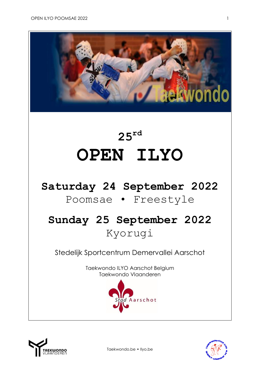

# **25 rd OPEN ILYO**

### **Saturday 24 September 2022**

### Poomsae • Freestyle

## **Sunday 25 September 2022** Kyorugi

Stedelijk Sportcentrum Demervallei Aarschot

Taekwondo ILYO Aarschot Belgium Taekwondo Vlaanderen





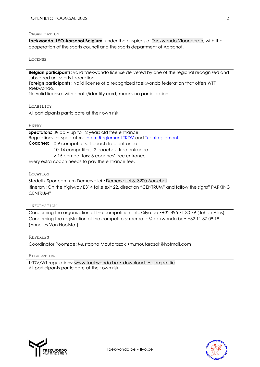#### ORGANIZATION

**[Taekwondo ILYO Aarschot Belgium](http://www.ilyo.be/)**, under the auspices of [Taekwondo Vlaanderen,](http://www.taekwondo.be/) with the cooperation of the sports council and the sports department of Aarschot.

#### LICENSE

**Belgian participants:** valid taekwondo license delivered by one of the regional recognized and subsidized uni-sports federation.

**Foreign participants**: valid license of a recognized taekwondo federation that offers WTF taekwondo.

No valid license (with photo/identity card) means no participation.

#### LIABILITY

All participants participate at their own risk.

#### ENTRY

**Spectators:** 8€ pp • up to 12 years old free entrance Regulations for spectators: [Intern Reglement TKDV](https://www.taekwondo.be/media/123/download) and [Tuchtreglement](https://www.taekwondo.be/media/254/download) **Coaches**: 0-9 competitors: 1 coach free entrance 10-14 competitors: 2 coaches' free entrance > 15 competitors: 3 coaches' free entrance

Every extra coach needs to pay the entrance fee.

#### LOCATION

Stedelijk Sportcentrum Demervallei •[Demervallei 8, 3200 Aarschot](https://www.google.be/maps/place/Demervallei+8,+3200+Aarschot/@50.9849187,4.8370893,17z/data=!3m1!4b1!4m5!3m4!1s0x47c1434df324361b:0x47328602c990473d!8m2!3d50.983806!4d4.839325?hl=nl) Itinerary: On the highway E314 take exit 22, direction "CENTRUM" and follow the signs" PARKING CENTRUM".

#### INFORMATION

Concerning the organization of the competition: [info@ilyo.be](mailto:info@ilyo.be) •+32 495 71 30 79 (Johan Alles) Concerning the registration of the competitors: [recreatie@taekwondo.be](mailto:recreatie@taekwondo.be)• +32 11 87 09 19 (Annelies Van Hoofstat)

#### REFEREES

Coordinator Poomsae: Mustapha Moutarazak •[m.moutarazak@hotmail.com](mailto:m.moutarazak@hotmail.com)

#### REGULATIONS

TKDV/WT-regulations: [www.taekwondo.be • downloads • competitie](https://www.taekwondo.be/sites/default/files/2021-06/2021.01.25_Wedstrijdreglement%20Poomsae%202021.pdf) All participants participate at their own risk.



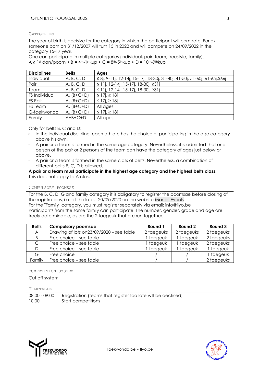#### **CATEGORIES**

The year of birth is decisive for the category in which the participant will compete. For ex. someone born on 31/12/2007 will turn 15 in 2022 and will compete on 24/09/2022 in the category 15-17 year.

One can participate in multiple categories (individual, pair, team, freestyle, family).  $A \ge 1$ st dan/poom • B = 4th-1stkup • C = 8th-5thkup • D = 10th-9thkup

| <b>Disciplines</b> | <b>Belts</b> | Ages                                                                                 |
|--------------------|--------------|--------------------------------------------------------------------------------------|
| Individual         | A, B, C, D   | $\leq$ 8j, 9-11j, 12-14j, 15-17j, 18-30j, 31-40j, 41-50j, 51-60j, 61-65j, $\geq$ 66j |
| Pair               | A, B, C, D   | ≤ 11j, 12-14j, 15-17j, 18-30j, ≥31j                                                  |
| Team               | A, B, C, D   | ≤ 11j, 12-14j, 15-17j, 18-30j, ≥31j                                                  |
| FS Individual      | $A, (B+C+D)$ | ≤ 17 <i>i</i> , $\ge$ 18 <i>i</i>                                                    |
| FS Pair            | $A, (B+C+D)$ | ≤ 17 <i>i</i> , $≥$ 18 <i>j</i>                                                      |
| FS Team            | $A, (B+C+D)$ | All ages                                                                             |
| G-taekwondo        | $A, (B+C+D)$ | ≤ 17j, ≥ 18j                                                                         |
| Family             | $A+B+C+D$    | All ages                                                                             |

Only for belts B, C and D:

- In the individual discipline, each athlete has the choice of participating in the age category above his own.
- **A** pair or a team is formed in the same age category. Nevertheless, it is admitted that one person of the pair or 2 persons of the team can have the category of ages just below or above.
- A pair or a team is formed in the same class of belts. Nevertheless, a combination of different belts B, C, D is allowed.

**A pair or a team must participate in the highest age category and the highest belts class.** This does not apply to A class!

#### COMPULSORY POOMSAE

For the B, C, D, G and family category it is obligatory to register the poomsae before closing of the registrations, i.e. at the latest 20/09/2020 on the websit[e Martial Events](https://www.martial.events/en) For the "Family" category, you must register separately via email: [info@ilyo.be](file:///F:/wedstrijd%20ILYO/wedstrijd%202020/uitschrijvingen/poomse/info@ilyo.be) Participants from the same family can participate. The number, gender, grade and age are freely determinable, as are the 2 taegeuk that are run together.

| <b>Belts</b> | <b>Compulsory poomsae</b>                   | Round 1    | Round 2    | Round 3    |
|--------------|---------------------------------------------|------------|------------|------------|
| A            | Drawing of lots on $23/09/2020$ – see table | 2 taegeuks | 2 taegeuks | 2 taegeuks |
| B            | Free choice – see table                     | taegeuk    | taegeuk    | 2 taegeuks |
| $\mathsf{C}$ | Free choice – see table                     | taegeuk    | taegeuk    | 2 taegeuks |
| D.           | Free choice – see table                     | taegeuk    | taegeuk    | taegeuk    |
| G.           | Free choice                                 |            |            | taegeuk    |
| Family       | Free choice – see table                     |            |            | 2 taegeuks |

Taekwondo.be • Ilyo.be

COMPETITION SYSTEM

#### Cut off system

#### TIMETABLE

08:00 - 09:00 Registration (teams that register too late will be declined) 10:00 Start competitions

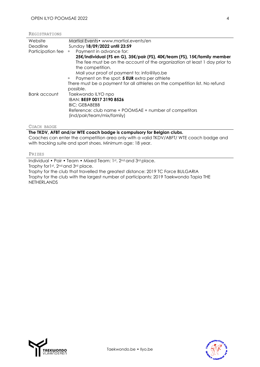| Website                                                                     | Martial Events• www.martial.events/en                                      |  |  |  |  |
|-----------------------------------------------------------------------------|----------------------------------------------------------------------------|--|--|--|--|
| Deadline                                                                    | Sunday 18/09/2022 until 23:59                                              |  |  |  |  |
| Participation fee                                                           | Payment in advance for:<br>$\Box$                                          |  |  |  |  |
|                                                                             | 25€/individual (FS en G), 35€/pair (FS), 40€/team (FS), 15€/family member  |  |  |  |  |
|                                                                             | The fee must be on the account of the organization at least 1 day prior to |  |  |  |  |
|                                                                             | the competition.                                                           |  |  |  |  |
|                                                                             | Mail your proof of payment to: info@ilyo.be                                |  |  |  |  |
|                                                                             | Payment on the spot: 5 EUR extra per athlete<br>$\Box$                     |  |  |  |  |
| There must be a payment for all athletes on the competition list. No refund |                                                                            |  |  |  |  |
|                                                                             | possible.                                                                  |  |  |  |  |
| Bank account                                                                | Taekwondo ILYO npo                                                         |  |  |  |  |
|                                                                             | IBAN: BE59 0017 3190 8526                                                  |  |  |  |  |
|                                                                             | <b>BIC: GEBABEBB</b>                                                       |  |  |  |  |
|                                                                             | Reference: club name + POOMSAE + number of competitors                     |  |  |  |  |
|                                                                             | (ind/pair/team/mix/family)                                                 |  |  |  |  |
|                                                                             |                                                                            |  |  |  |  |

#### COACH BADGE

#### **The TKDV, AFBT and/or WTE coach badge is compulsory for Belgian clubs.**

Coaches can enter the competition area only with a valid TKDV/ABFT/ WTE coach badge and with tracking suite and sport shoes. Minimum age: 18 year.

#### PRIZES

Individual • Pair • Team • Mixed Team: 1st , 2nd and 3rd place. Trophy for1st, 2nd and 3rd place.

Trophy for the club that travelled the greatest distance: 2019 TC Force BULGARIA Trophy for the club with the largest number of participants: 2019 Taekwondo Tapia THE NETHERLANDS



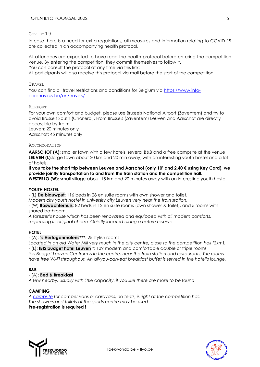#### COVID-19

In case there is a need for extra regulations, all measures and information relating to COVID-19 are collected in an accompanying health protocol.

All attendees are expected to have read the health protocol before entering the competition venue. By entering the competition, they commit themselves to follow it. You can consult the protocol at any time via this link: All participants will also receive this protocol via mail before the start of the competition.

TRAVEL

You can find qll travel restrictions and conditions for Belgium via [https://www.info](https://www.info-coronavirus.be/en/travels/)[coronavirus.be/en/travels/](https://www.info-coronavirus.be/en/travels/)

#### AIRPORT

For your own comfort and budget, please use Brussels National Airport (Zaventem) and try to avoid Brussels South (Charleroi). From Brussels (Zaventem) Leuven and Aarschot are directly accessible by train: Leuven: 20 minutes only Aarschot: 45 minutes only

#### ACCOMMODATION

AARSCHOT (A): smaller town with a few hotels, several B&B and a free campsite at the venue **LEUVEN (L):**large town about 20 km and 20 min away, with an interesting youth hostel and a lot of hotels.

**If you take the short trip between Leuven and Aarschot (only 10' and 2,40 € using Key Card), we provide jointly transportation to and from the train station and the competition hall. WESTERLO (W):** small village about 15 km and 20 minutes away with an interesting youth hostel.

#### **YOUTH HOSTEL**

- (L) **[De blauwput](https://www.jeugdherbergen.be/en/leuven)**: 116 beds in 28 en suite rooms with own shower and toilet.

*Modern city youth hostel in university city Leuven very near the train station.*

- (W) **[Boswachterhuis](http://www.jeugdherbergen.be/en/youth-hostels/green-hostels/westerlo-boswachtershuis)**: 82 beds in 12 en suite rooms (own shower & toilet), and 5 rooms with shared bathroom.

*A forester's house which has been renovated and equipped with all modern comforts, respecting its original charm. Quietly located along a nature reserve.*

#### **HOTEL**

#### - (A): **['s Hertogenmolens](http://lodge-hotels.be/en/hotels/b/s-hertogenmolens-aarschot)\*\*\***: 25 stylish rooms

*Located in an old Water Mill very much in the city centre, close to the competition hall (2km).* - (L): **[IBIS budget hotel Leuven](http://www.ibis.com/gb/hotel-6682-ibis-budget-leuven-centrum/index.shtml)** \*: 139 modern and comfortable double or triple rooms *Ibis Budget Leuven Centrum is in the centre, near the train station and restaurants. The rooms have free Wi-Fi throughout. An all-you-can-eat breakfast buffet is served in the hotel's lounge.*

#### **B&B**

#### - (A): **[Bed & Breakfast](http://www.hetgasthuis.be/toerisme/overnachten)**

*A few nearby, usually with little capacity, if you like there are more to be found*

#### **CAMPING**

*A [campsite](https://www.campercontact.com/nl/belgie/vlaams-brabant--brabant-flamand/aarschot/26979/parking-demervallei) for camper vans or caravans, no tents, is right at the competition hall. The showers and toilets of the sports centre may be used.* **Pre-registration is required !**



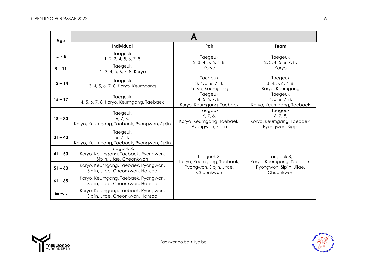| Age       |                                                                               |                                                                      |                                                                                  |  |  |  |  |
|-----------|-------------------------------------------------------------------------------|----------------------------------------------------------------------|----------------------------------------------------------------------------------|--|--|--|--|
|           | <b>Individual</b>                                                             | Pair                                                                 | Team                                                                             |  |  |  |  |
| $ - 8$    | Taegeuk<br>1, 2, 3, 4, 5, 6, 7, 8                                             | Taegeuk<br>2, 3, 4, 5, 6, 7, 8,                                      | Taegeuk<br>2, 3, 4, 5, 6, 7, 8,<br>Koryo                                         |  |  |  |  |
| $9 - 11$  | Taegeuk<br>2, 3, 4, 5, 6, 7, 8, Koryo                                         | Koryo                                                                |                                                                                  |  |  |  |  |
| $12 - 14$ | Taegeuk<br>3, 4, 5, 6, 7, 8, Koryo, Keumgang                                  | Taegeuk<br>3, 4, 5, 6, 7, 8,<br>Koryo, Keumgang                      | Taegeuk<br>3, 4, 5, 6, 7, 8,<br>Koryo, Keumgang                                  |  |  |  |  |
| $15 - 17$ | Taegeuk<br>4, 5, 6, 7, 8, Koryo, Keumgang, Taebaek                            | Taegeuk<br>4, 5, 6, 7, 8,<br>Koryo, Keumgang, Taebaek                | Taegeuk<br>4, 5, 6, 7, 8,<br>Koryo, Keumgang, Taebaek                            |  |  |  |  |
| $18 - 30$ | Taegeuk<br>6, 7, 8,<br>Koryo, Keumgang, Taebaek, Pyongwon, Sipjin             | Taegeuk<br>6, 7, 8,<br>Koryo, Keumgang, Taebaek,<br>Pyongwon, Sipjin | Taegeuk<br>6, 7, 8,<br>Koryo, Keumgang, Taebaek,<br>Pyongwon, Sipjin             |  |  |  |  |
| $31 - 40$ | Taegeuk<br>6, 7, 8,<br>Koryo, Keumgang, Taebaek, Pyongwon, Sipjin             |                                                                      | Taegeuk 8,<br>Koryo, Keumgang, Taebaek,<br>Pyongwon, Sipjin, Jitae,<br>Cheonkwon |  |  |  |  |
| $41 - 50$ | Taegeuk 8,<br>Koryo, Keumgang, Taebaek, Pyongwon,<br>Sipjin, Jitae, Cheonkwon | Taegeuk 8,<br>Koryo, Keumgang, Taebaek,                              |                                                                                  |  |  |  |  |
| $51 - 60$ | Koryo, Keumgang, Taebaek, Pyongwon,<br>Sipjin, Jitae, Cheonkwon, Hansoo       | Pyongwon, Sipjin, Jitae,<br>Cheonkwon                                |                                                                                  |  |  |  |  |
| $61 - 65$ | Koryo, Keumgang, Taebaek, Pyongwon,<br>Sipjin, Jitae, Cheonkwon, Hansoo       |                                                                      |                                                                                  |  |  |  |  |
| $66 - $   | Koryo, Keumgang, Taebaek, Pyongwon,<br>Sipjin, Jitae, Cheonkwon, Hansoo       |                                                                      |                                                                                  |  |  |  |  |